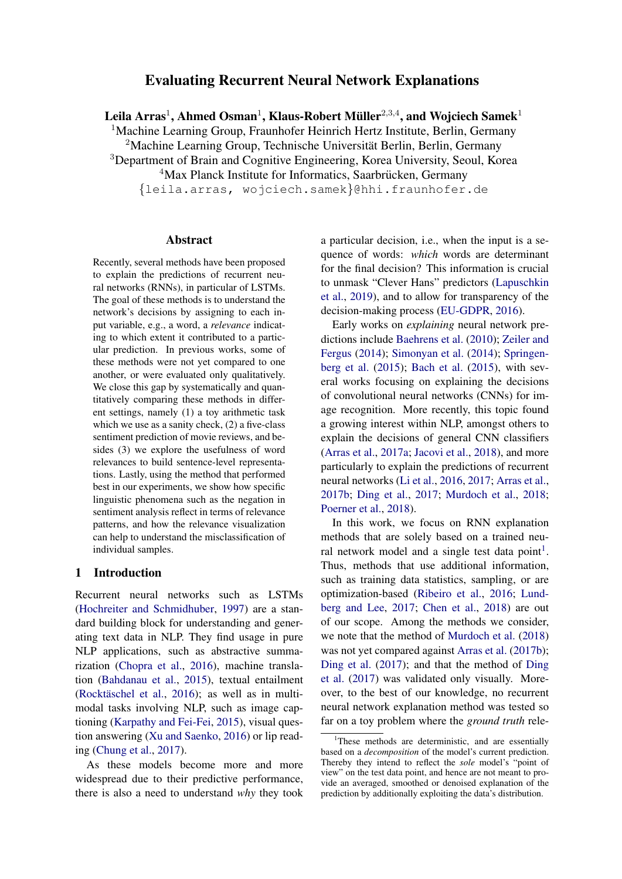# Evaluating Recurrent Neural Network Explanations

Leila Arras $^1$ , Ahmed Osman $^1$ , Klaus-Robert Müller $^{2,3,4}$ , and Wojciech Samek $^1$ 

<sup>1</sup>Machine Learning Group, Fraunhofer Heinrich Hertz Institute, Berlin, Germany

<sup>2</sup>Machine Learning Group, Technische Universität Berlin, Berlin, Germany <sup>3</sup>Department of Brain and Cognitive Engineering, Korea University, Seoul, Korea

 $4$ Max Planck Institute for Informatics, Saarbrücken, Germany

{leila.arras, wojciech.samek}@hhi.fraunhofer.de

#### Abstract

Recently, several methods have been proposed to explain the predictions of recurrent neural networks (RNNs), in particular of LSTMs. The goal of these methods is to understand the network's decisions by assigning to each input variable, e.g., a word, a *relevance* indicating to which extent it contributed to a particular prediction. In previous works, some of these methods were not yet compared to one another, or were evaluated only qualitatively. We close this gap by systematically and quantitatively comparing these methods in different settings, namely (1) a toy arithmetic task which we use as a sanity check, (2) a five-class sentiment prediction of movie reviews, and besides (3) we explore the usefulness of word relevances to build sentence-level representations. Lastly, using the method that performed best in our experiments, we show how specific linguistic phenomena such as the negation in sentiment analysis reflect in terms of relevance patterns, and how the relevance visualization can help to understand the misclassification of individual samples.

#### 1 Introduction

Recurrent neural networks such as LSTMs [\(Hochreiter and Schmidhuber,](#page-9-0) [1997\)](#page-9-0) are a standard building block for understanding and generating text data in NLP. They find usage in pure NLP applications, such as abstractive summarization [\(Chopra et al.,](#page-8-0) [2016\)](#page-8-0), machine translation [\(Bahdanau et al.,](#page-8-1) [2015\)](#page-8-1), textual entailment (Rocktäschel et al.,  $2016$ ); as well as in multimodal tasks involving NLP, such as image captioning [\(Karpathy and Fei-Fei,](#page-9-1) [2015\)](#page-9-1), visual question answering [\(Xu and Saenko,](#page-10-1) [2016\)](#page-10-1) or lip reading [\(Chung et al.,](#page-8-2) [2017\)](#page-8-2).

As these models become more and more widespread due to their predictive performance, there is also a need to understand *why* they took a particular decision, i.e., when the input is a sequence of words: *which* words are determinant for the final decision? This information is crucial to unmask "Clever Hans" predictors [\(Lapuschkin](#page-9-2) [et al.,](#page-9-2) [2019\)](#page-9-2), and to allow for transparency of the decision-making process [\(EU-GDPR,](#page-9-3) [2016\)](#page-9-3).

Early works on *explaining* neural network predictions include [Baehrens et al.](#page-8-3) [\(2010\)](#page-8-3); [Zeiler and](#page-10-2) [Fergus](#page-10-2) [\(2014\)](#page-10-2); [Simonyan et al.](#page-10-3) [\(2014\)](#page-10-3); [Springen](#page-10-4)[berg et al.](#page-10-4) [\(2015\)](#page-10-4); [Bach et al.](#page-8-4) [\(2015\)](#page-8-4), with several works focusing on explaining the decisions of convolutional neural networks (CNNs) for image recognition. More recently, this topic found a growing interest within NLP, amongst others to explain the decisions of general CNN classifiers [\(Arras et al.,](#page-8-5) [2017a;](#page-8-5) [Jacovi et al.,](#page-9-4) [2018\)](#page-9-4), and more particularly to explain the predictions of recurrent neural networks [\(Li et al.,](#page-9-5) [2016,](#page-9-5) [2017;](#page-9-6) [Arras et al.,](#page-8-6) [2017b;](#page-8-6) [Ding et al.,](#page-9-7) [2017;](#page-9-7) [Murdoch et al.,](#page-10-5) [2018;](#page-10-5) [Poerner et al.,](#page-10-6) [2018\)](#page-10-6).

In this work, we focus on RNN explanation methods that are solely based on a trained neu-ral network model and a single test data point<sup>[1](#page-0-0)</sup>. Thus, methods that use additional information, such as training data statistics, sampling, or are optimization-based [\(Ribeiro et al.,](#page-10-7) [2016;](#page-10-7) [Lund](#page-9-8)[berg and Lee,](#page-9-8) [2017;](#page-9-8) [Chen et al.,](#page-8-7) [2018\)](#page-8-7) are out of our scope. Among the methods we consider, we note that the method of [Murdoch et al.](#page-10-5) [\(2018\)](#page-10-5) was not yet compared against [Arras et al.](#page-8-6) [\(2017b\)](#page-8-6); [Ding et al.](#page-9-7) [\(2017\)](#page-9-7); and that the method of [Ding](#page-9-7) [et al.](#page-9-7) [\(2017\)](#page-9-7) was validated only visually. Moreover, to the best of our knowledge, no recurrent neural network explanation method was tested so far on a toy problem where the *ground truth* rele-

<span id="page-0-0"></span> $1$ These methods are deterministic, and are essentially based on a *decomposition* of the model's current prediction. Thereby they intend to reflect the *sole* model's "point of view" on the test data point, and hence are not meant to provide an averaged, smoothed or denoised explanation of the prediction by additionally exploiting the data's distribution.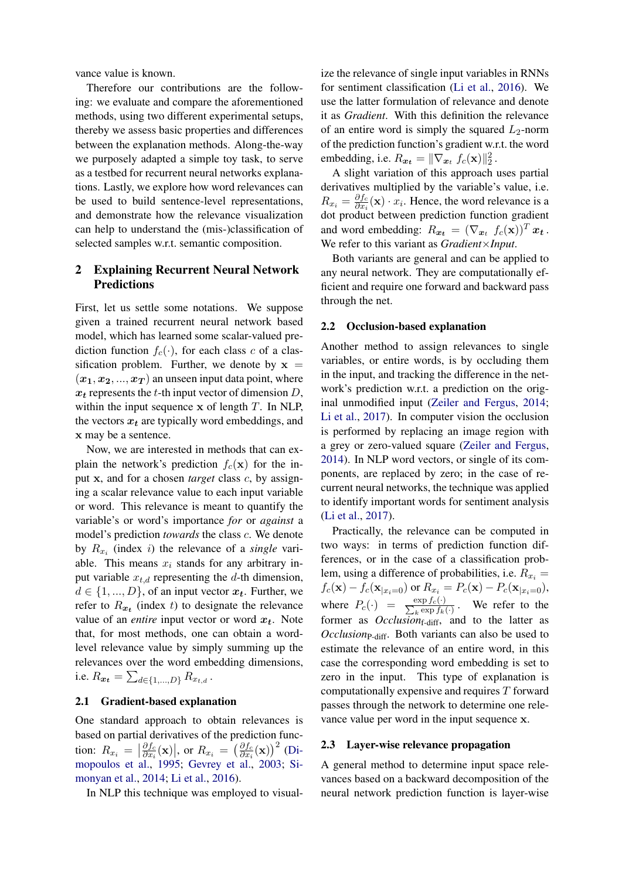vance value is known.

Therefore our contributions are the following: we evaluate and compare the aforementioned methods, using two different experimental setups, thereby we assess basic properties and differences between the explanation methods. Along-the-way we purposely adapted a simple toy task, to serve as a testbed for recurrent neural networks explanations. Lastly, we explore how word relevances can be used to build sentence-level representations, and demonstrate how the relevance visualization can help to understand the (mis-)classification of selected samples w.r.t. semantic composition.

# 2 Explaining Recurrent Neural Network Predictions

First, let us settle some notations. We suppose given a trained recurrent neural network based model, which has learned some scalar-valued prediction function  $f_c(\cdot)$ , for each class c of a classification problem. Further, we denote by  $x =$  $(x_1, x_2, ..., x_T)$  an unseen input data point, where  $x_t$  represents the t-th input vector of dimension D, within the input sequence  $x$  of length  $T$ . In NLP, the vectors  $x_t$  are typically word embeddings, and x may be a sentence.

Now, we are interested in methods that can explain the network's prediction  $f_c(\mathbf{x})$  for the input x, and for a chosen *target* class c, by assigning a scalar relevance value to each input variable or word. This relevance is meant to quantify the variable's or word's importance *for* or *against* a model's prediction *towards* the class c. We denote by  $R_{x_i}$  (index *i*) the relevance of a *single* variable. This means  $x_i$  stands for any arbitrary input variable  $x_{t,d}$  representing the d-th dimension,  $d \in \{1, ..., D\}$ , of an input vector  $x_t$ . Further, we refer to  $R_{x_t}$  (index t) to designate the relevance value of an *entire* input vector or word  $x_t$ . Note that, for most methods, one can obtain a wordlevel relevance value by simply summing up the relevances over the word embedding dimensions, i.e.  $R_{\bm{x_t}} = \sum_{d \in \{1,...,D\}} R_{x_{t,d}}$  .

# 2.1 Gradient-based explanation

One standard approach to obtain relevances is based on partial derivatives of the prediction function:  $R_{x_i} = \left| \frac{\partial f_c}{\partial x_i} \right|$  $\frac{\partial f_c}{\partial x_i}(\mathbf{x})\Big|$ , or  $R_{x_i} = \left(\frac{\partial f_c}{\partial x_i}\right)$  $\frac{\partial f_c}{\partial x_i}(\mathbf{x})\big)^2$  [\(Di](#page-9-9)[mopoulos et al.,](#page-9-9) [1995;](#page-9-9) [Gevrey et al.,](#page-9-10) [2003;](#page-9-10) [Si](#page-10-3)[monyan et al.,](#page-10-3) [2014;](#page-10-3) [Li et al.,](#page-9-5) [2016\)](#page-9-5).

In NLP this technique was employed to visual-

ize the relevance of single input variables in RNNs for sentiment classification [\(Li et al.,](#page-9-5) [2016\)](#page-9-5). We use the latter formulation of relevance and denote it as *Gradient*. With this definition the relevance of an entire word is simply the squared  $L_2$ -norm of the prediction function's gradient w.r.t. the word embedding, i.e.  $R_{\boldsymbol{x_t}} = ||\nabla_{\boldsymbol{x}_t} f_c(\mathbf{x})||_2^2$ .

A slight variation of this approach uses partial derivatives multiplied by the variable's value, i.e.  $R_{x_i} = \frac{\partial f_c}{\partial x_i}$  $\frac{\partial J_c}{\partial x_i}(\mathbf{x}) \cdot x_i$ . Hence, the word relevance is a dot product between prediction function gradient and word embedding:  $R_{x_t} = (\nabla_{x_t} f_c(\mathbf{x}))^T x_t$ . We refer to this variant as *Gradient*×*Input*.

Both variants are general and can be applied to any neural network. They are computationally efficient and require one forward and backward pass through the net.

#### 2.2 Occlusion-based explanation

Another method to assign relevances to single variables, or entire words, is by occluding them in the input, and tracking the difference in the network's prediction w.r.t. a prediction on the original unmodified input [\(Zeiler and Fergus,](#page-10-2) [2014;](#page-10-2) [Li et al.,](#page-9-6) [2017\)](#page-9-6). In computer vision the occlusion is performed by replacing an image region with a grey or zero-valued square [\(Zeiler and Fergus,](#page-10-2) [2014\)](#page-10-2). In NLP word vectors, or single of its components, are replaced by zero; in the case of recurrent neural networks, the technique was applied to identify important words for sentiment analysis [\(Li et al.,](#page-9-6) [2017\)](#page-9-6).

Practically, the relevance can be computed in two ways: in terms of prediction function differences, or in the case of a classification problem, using a difference of probabilities, i.e.  $R_{x_i} =$  $f_c(\mathbf{x}) - f_c(\mathbf{x}_{|x_i=0})$  or  $R_{x_i} = P_c(\mathbf{x}) - P_c(\mathbf{x}_{|x_i=0}),$ where  $P_c(\cdot) = \frac{\exp f_c(\cdot)}{\sum_k \exp f_k}$  $\frac{\exp f_c(y)}{k \exp f_k(y)}$ . We refer to the former as *Occlusion*<sub>f-diff</sub>, and to the latter as *Occlusion*<sub>P-diff</sub>. Both variants can also be used to estimate the relevance of an entire word, in this case the corresponding word embedding is set to zero in the input. This type of explanation is computationally expensive and requires T forward passes through the network to determine one relevance value per word in the input sequence x.

#### 2.3 Layer-wise relevance propagation

A general method to determine input space relevances based on a backward decomposition of the neural network prediction function is layer-wise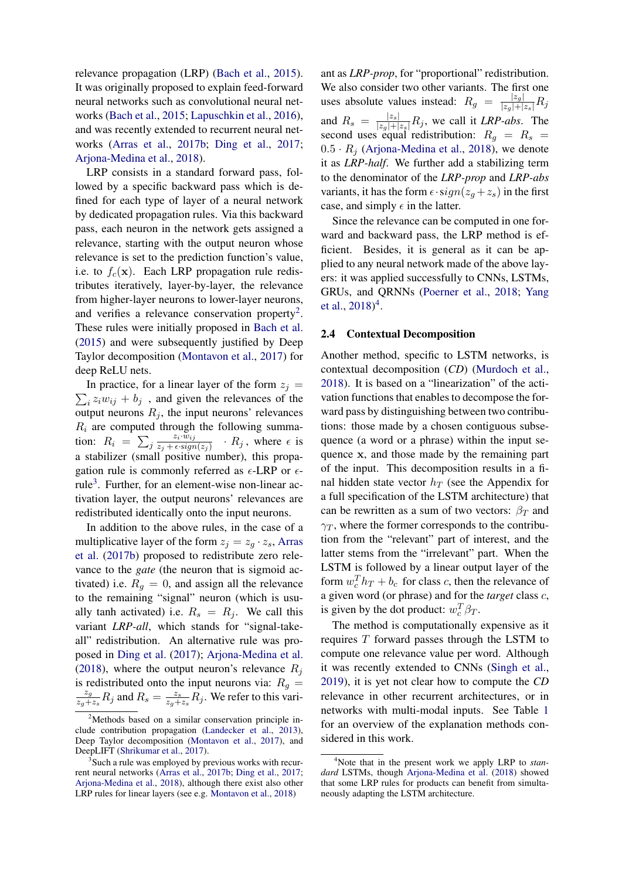relevance propagation (LRP) [\(Bach et al.,](#page-8-4) [2015\)](#page-8-4). It was originally proposed to explain feed-forward neural networks such as convolutional neural networks [\(Bach et al.,](#page-8-4) [2015;](#page-8-4) [Lapuschkin et al.,](#page-9-11) [2016\)](#page-9-11), and was recently extended to recurrent neural networks [\(Arras et al.,](#page-8-6) [2017b;](#page-8-6) [Ding et al.,](#page-9-7) [2017;](#page-9-7) [Arjona-Medina et al.,](#page-8-8) [2018\)](#page-8-8).

LRP consists in a standard forward pass, followed by a specific backward pass which is defined for each type of layer of a neural network by dedicated propagation rules. Via this backward pass, each neuron in the network gets assigned a relevance, starting with the output neuron whose relevance is set to the prediction function's value, i.e. to  $f_c(\mathbf{x})$ . Each LRP propagation rule redistributes iteratively, layer-by-layer, the relevance from higher-layer neurons to lower-layer neurons, and verifies a relevance conservation property<sup>[2](#page-2-0)</sup>. These rules were initially proposed in [Bach et al.](#page-8-4) [\(2015\)](#page-8-4) and were subsequently justified by Deep Taylor decomposition [\(Montavon et al.,](#page-9-12) [2017\)](#page-9-12) for deep ReLU nets.

 $\sum_i z_i w_{ij} + b_j$ , and given the relevances of the In practice, for a linear layer of the form  $z_i$  = output neurons  $R_i$ , the input neurons' relevances  $R_i$  are computed through the following summation:  $R_i = \sum_j$  $z_i\cdotp\!\overline{w}_{ij}$  $\frac{z_i \cdot w_{ij}}{z_j + \epsilon \cdot sign(z_j)}$  ·  $R_j$ , where  $\epsilon$  is a stabilizer (small positive number), this propagation rule is commonly referred as  $\epsilon$ -LRP or  $\epsilon$ -rule<sup>[3](#page-2-1)</sup>. Further, for an element-wise non-linear activation layer, the output neurons' relevances are redistributed identically onto the input neurons.

In addition to the above rules, in the case of a multiplicative layer of the form  $z_j = z_g \cdot z_s$ , [Arras](#page-8-6) [et al.](#page-8-6) [\(2017b\)](#page-8-6) proposed to redistribute zero relevance to the *gate* (the neuron that is sigmoid activated) i.e.  $R_q = 0$ , and assign all the relevance to the remaining "signal" neuron (which is usually tanh activated) i.e.  $R_s = R_i$ . We call this variant *LRP-all*, which stands for "signal-takeall" redistribution. An alternative rule was proposed in [Ding et al.](#page-9-7) [\(2017\)](#page-9-7); [Arjona-Medina et al.](#page-8-8) [\(2018\)](#page-8-8), where the output neuron's relevance  $R_i$ is redistributed onto the input neurons via:  $R_q =$ zg  $\frac{z_g}{z_g+z_s}R_j$  and  $R_s=\frac{z_s}{z_g+}$  $\frac{z_s}{z_g+z_s}R_j$ . We refer to this vari-

ant as *LRP-prop*, for "proportional" redistribution. We also consider two other variants. The first one uses absolute values instead:  $R_g = \frac{|z_g|}{|z_g| + |z_s|} R_j$ and  $R_s = \frac{|z_s|}{|z_g| + |z_s|} R_j$ , we call it *LRP-abs*. The second uses equal redistribution:  $R_g = R_s$  $0.5 \cdot R_i$  [\(Arjona-Medina et al.,](#page-8-8) [2018\)](#page-8-8), we denote it as *LRP-half*. We further add a stabilizing term to the denominator of the *LRP-prop* and *LRP-abs* variants, it has the form  $\epsilon \cdot sign(z_a + z_s)$  in the first case, and simply  $\epsilon$  in the latter.

Since the relevance can be computed in one forward and backward pass, the LRP method is efficient. Besides, it is general as it can be applied to any neural network made of the above layers: it was applied successfully to CNNs, LSTMs, GRUs, and QRNNs [\(Poerner et al.,](#page-10-6) [2018;](#page-10-6) [Yang](#page-10-10) [et al.,](#page-10-10)  $2018)^4$  $2018)^4$  $2018)^4$ .

#### 2.4 Contextual Decomposition

Another method, specific to LSTM networks, is contextual decomposition (*CD*) [\(Murdoch et al.,](#page-10-5) [2018\)](#page-10-5). It is based on a "linearization" of the activation functions that enables to decompose the forward pass by distinguishing between two contributions: those made by a chosen contiguous subsequence (a word or a phrase) within the input sequence x, and those made by the remaining part of the input. This decomposition results in a final hidden state vector  $h_T$  (see the Appendix for a full specification of the LSTM architecture) that can be rewritten as a sum of two vectors:  $\beta_T$  and  $\gamma_T$ , where the former corresponds to the contribution from the "relevant" part of interest, and the latter stems from the "irrelevant" part. When the LSTM is followed by a linear output layer of the form  $w_c^T h_T + b_c$  for class c, then the relevance of a given word (or phrase) and for the *target* class c, is given by the dot product:  $w_c^T \beta_T$ .

The method is computationally expensive as it requires T forward passes through the LSTM to compute one relevance value per word. Although it was recently extended to CNNs [\(Singh et al.,](#page-10-11) [2019\)](#page-10-11), it is yet not clear how to compute the *CD* relevance in other recurrent architectures, or in networks with multi-modal inputs. See Table [1](#page-3-0) for an overview of the explanation methods considered in this work.

<span id="page-2-0"></span><sup>2</sup>Methods based on a similar conservation principle include contribution propagation [\(Landecker et al.,](#page-9-13) [2013\)](#page-9-13), Deep Taylor decomposition [\(Montavon et al.,](#page-9-12) [2017\)](#page-9-12), and DeepLIFT [\(Shrikumar et al.,](#page-10-8) [2017\)](#page-10-8).

<span id="page-2-1"></span><sup>&</sup>lt;sup>3</sup>Such a rule was employed by previous works with recurrent neural networks [\(Arras et al.,](#page-8-6) [2017b;](#page-8-6) [Ding et al.,](#page-9-7) [2017;](#page-9-7) [Arjona-Medina et al.,](#page-8-8) [2018\)](#page-8-8), although there exist also other LRP rules for linear layers (see e.g. [Montavon et al.,](#page-10-9) [2018\)](#page-10-9)

<span id="page-2-2"></span><sup>4</sup>Note that in the present work we apply LRP to *standard* LSTMs, though [Arjona-Medina et al.](#page-8-8) [\(2018\)](#page-8-8) showed that some LRP rules for products can benefit from simultaneously adapting the LSTM architecture.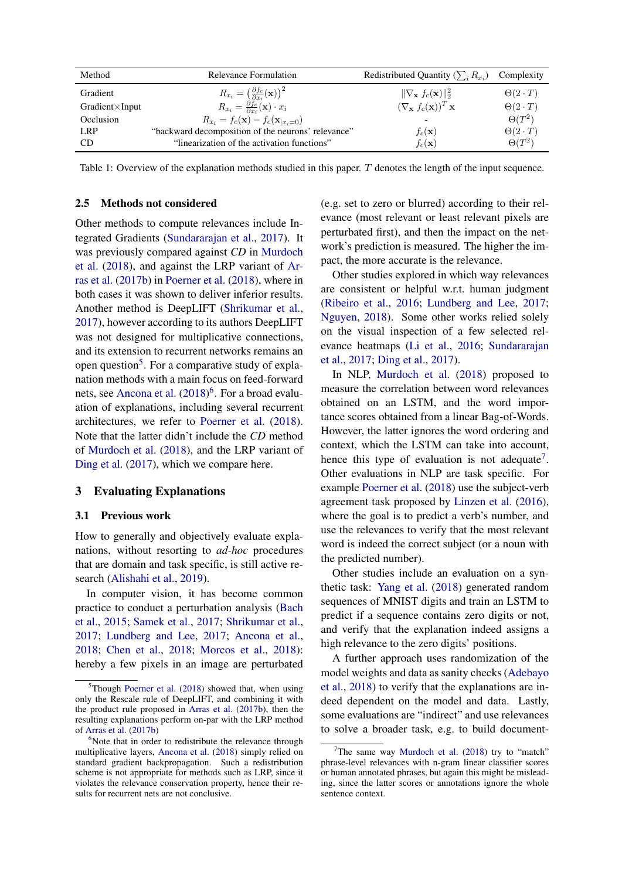<span id="page-3-0"></span>

| Method                  | Relevance Formulation                                                    | Redistributed Quantity $(\sum_i R_{x_i})$            | Complexity         |
|-------------------------|--------------------------------------------------------------------------|------------------------------------------------------|--------------------|
| Gradient                | $R_{x_i} = \left(\frac{\partial f_c}{\partial x_i}(\mathbf{x})\right)^2$ | $\ \nabla_{\mathbf{x}} f_c(\mathbf{x})\ _2^2$        | $\Theta(2\cdot T)$ |
| $Gradient \times Input$ | $R_{x_i} = \frac{\partial f_c}{\partial x_i}(\mathbf{x}) \cdot x_i$      | $(\nabla_{\mathbf{x}} f_c(\mathbf{x}))^T \mathbf{x}$ | $\Theta(2\cdot T)$ |
| Occlusion               | $R_{x_i} = f_c(\mathbf{x}) - f_c(\mathbf{x}_{ x_i=0})$                   |                                                      | $\Theta(T^2)$      |
| LRP                     | "backward decomposition of the neurons' relevance"                       | $f_c(\mathbf{x})$                                    | $\Theta(2\cdot T)$ |
| CD.                     | "linearization of the activation functions"                              | $f_c(\mathbf{x})$                                    | $\Theta(T^2)$      |

Table 1: Overview of the explanation methods studied in this paper. T denotes the length of the input sequence.

### 2.5 Methods not considered

Other methods to compute relevances include Integrated Gradients [\(Sundararajan et al.,](#page-10-12) [2017\)](#page-10-12). It was previously compared against *CD* in [Murdoch](#page-10-5) [et al.](#page-10-5) [\(2018\)](#page-10-5), and against the LRP variant of [Ar](#page-8-6)[ras et al.](#page-8-6) [\(2017b\)](#page-8-6) in [Poerner et al.](#page-10-6) [\(2018\)](#page-10-6), where in both cases it was shown to deliver inferior results. Another method is DeepLIFT [\(Shrikumar et al.,](#page-10-8) [2017\)](#page-10-8), however according to its authors DeepLIFT was not designed for multiplicative connections, and its extension to recurrent networks remains an open question<sup>[5](#page-3-1)</sup>. For a comparative study of explanation methods with a main focus on feed-forward nets, see [Ancona et al.](#page-8-9)  $(2018)^6$  $(2018)^6$  $(2018)^6$ . For a broad evaluation of explanations, including several recurrent architectures, we refer to [Poerner et al.](#page-10-6) [\(2018\)](#page-10-6). Note that the latter didn't include the *CD* method of [Murdoch et al.](#page-10-5) [\(2018\)](#page-10-5), and the LRP variant of [Ding et al.](#page-9-7) [\(2017\)](#page-9-7), which we compare here.

## 3 Evaluating Explanations

#### 3.1 Previous work

How to generally and objectively evaluate explanations, without resorting to *ad-hoc* procedures that are domain and task specific, is still active research [\(Alishahi et al.,](#page-8-10) [2019\)](#page-8-10).

In computer vision, it has become common practice to conduct a perturbation analysis [\(Bach](#page-8-4) [et al.,](#page-8-4) [2015;](#page-8-4) [Samek et al.,](#page-10-13) [2017;](#page-10-13) [Shrikumar et al.,](#page-10-8) [2017;](#page-10-8) [Lundberg and Lee,](#page-9-8) [2017;](#page-9-8) [Ancona et al.,](#page-8-9) [2018;](#page-8-9) [Chen et al.,](#page-8-7) [2018;](#page-8-7) [Morcos et al.,](#page-10-14) [2018\)](#page-10-14): hereby a few pixels in an image are perturbated (e.g. set to zero or blurred) according to their relevance (most relevant or least relevant pixels are perturbated first), and then the impact on the network's prediction is measured. The higher the impact, the more accurate is the relevance.

Other studies explored in which way relevances are consistent or helpful w.r.t. human judgment [\(Ribeiro et al.,](#page-10-7) [2016;](#page-10-7) [Lundberg and Lee,](#page-9-8) [2017;](#page-9-8) [Nguyen,](#page-10-15) [2018\)](#page-10-15). Some other works relied solely on the visual inspection of a few selected relevance heatmaps [\(Li et al.,](#page-9-5) [2016;](#page-9-5) [Sundararajan](#page-10-12) [et al.,](#page-10-12) [2017;](#page-10-12) [Ding et al.,](#page-9-7) [2017\)](#page-9-7).

In NLP, [Murdoch et al.](#page-10-5) [\(2018\)](#page-10-5) proposed to measure the correlation between word relevances obtained on an LSTM, and the word importance scores obtained from a linear Bag-of-Words. However, the latter ignores the word ordering and context, which the LSTM can take into account, hence this type of evaluation is not adequate<sup>[7](#page-3-3)</sup>. Other evaluations in NLP are task specific. For example [Poerner et al.](#page-10-6) [\(2018\)](#page-10-6) use the subject-verb agreement task proposed by [Linzen et al.](#page-9-14) [\(2016\)](#page-9-14), where the goal is to predict a verb's number, and use the relevances to verify that the most relevant word is indeed the correct subject (or a noun with the predicted number).

Other studies include an evaluation on a synthetic task: [Yang et al.](#page-10-10) [\(2018\)](#page-10-10) generated random sequences of MNIST digits and train an LSTM to predict if a sequence contains zero digits or not, and verify that the explanation indeed assigns a high relevance to the zero digits' positions.

A further approach uses randomization of the model weights and data as sanity checks [\(Adebayo](#page-8-11) [et al.,](#page-8-11) [2018\)](#page-8-11) to verify that the explanations are indeed dependent on the model and data. Lastly, some evaluations are "indirect" and use relevances to solve a broader task, e.g. to build document-

<span id="page-3-1"></span> ${}^{5}$ Though [Poerner et al.](#page-10-6) [\(2018\)](#page-10-6) showed that, when using only the Rescale rule of DeepLIFT, and combining it with the product rule proposed in [Arras et al.](#page-8-6) [\(2017b\)](#page-8-6), then the resulting explanations perform on-par with the LRP method of [Arras et al.](#page-8-6) [\(2017b\)](#page-8-6)

<span id="page-3-2"></span> $6$ Note that in order to redistribute the relevance through multiplicative layers, [Ancona et al.](#page-8-9) [\(2018\)](#page-8-9) simply relied on standard gradient backpropagation. Such a redistribution scheme is not appropriate for methods such as LRP, since it violates the relevance conservation property, hence their results for recurrent nets are not conclusive.

<span id="page-3-3"></span>The same way [Murdoch et al.](#page-10-5)  $(2018)$  try to "match" phrase-level relevances with n-gram linear classifier scores or human annotated phrases, but again this might be misleading, since the latter scores or annotations ignore the whole sentence context.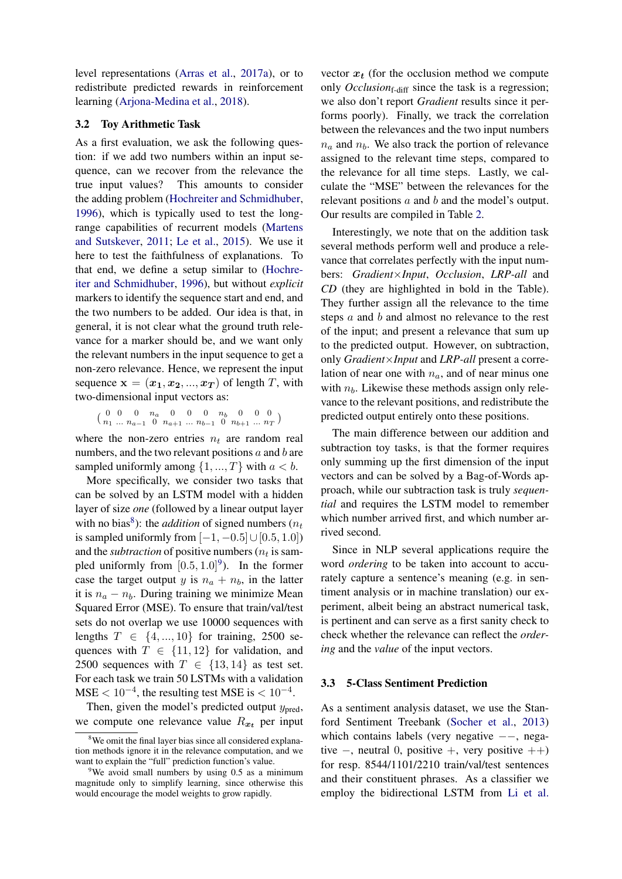level representations [\(Arras et al.,](#page-8-5) [2017a\)](#page-8-5), or to redistribute predicted rewards in reinforcement learning [\(Arjona-Medina et al.,](#page-8-8) [2018\)](#page-8-8).

#### 3.2 Toy Arithmetic Task

As a first evaluation, we ask the following question: if we add two numbers within an input sequence, can we recover from the relevance the true input values? This amounts to consider the adding problem [\(Hochreiter and Schmidhuber,](#page-9-15) [1996\)](#page-9-15), which is typically used to test the longrange capabilities of recurrent models [\(Martens](#page-9-16) [and Sutskever,](#page-9-16) [2011;](#page-9-16) [Le et al.,](#page-9-17) [2015\)](#page-9-17). We use it here to test the faithfulness of explanations. To that end, we define a setup similar to [\(Hochre](#page-9-15)[iter and Schmidhuber,](#page-9-15) [1996\)](#page-9-15), but without *explicit* markers to identify the sequence start and end, and the two numbers to be added. Our idea is that, in general, it is not clear what the ground truth relevance for a marker should be, and we want only the relevant numbers in the input sequence to get a non-zero relevance. Hence, we represent the input sequence  $\mathbf{x} = (\mathbf{x}_1, \mathbf{x}_2, ..., \mathbf{x}_T)$  of length T, with two-dimensional input vectors as:

 $\begin{pmatrix} 0 & 0 & 0 & n_a & 0 & 0 & 0 & n_b & 0 & 0 & 0 \\ n_1 & n_a & n_a & 0 & n_{a+1} & n_b & 0 & n_{b+1} & n_a & n_a \end{pmatrix}$  $n_1$  ...  $n_{a-1}$  0  $n_{a+1}$  ...  $n_{b-1}$  0  $n_{b+1}$  ...  $n_T$ )

where the non-zero entries  $n_t$  are random real numbers, and the two relevant positions  $a$  and  $b$  are sampled uniformly among  $\{1, ..., T\}$  with  $a < b$ .

More specifically, we consider two tasks that can be solved by an LSTM model with a hidden layer of size *one* (followed by a linear output layer with no bias<sup>[8](#page-4-0)</sup>): the *addition* of signed numbers ( $n_t$ ) is sampled uniformly from  $[-1, -0.5] \cup [0.5, 1.0]$ and the *subtraction* of positive numbers ( $n_t$  is sampled uniformly from  $[0.5, 1.0]^9$  $[0.5, 1.0]^9$ ). In the former case the target output y is  $n_a + n_b$ , in the latter it is  $n_a - n_b$ . During training we minimize Mean Squared Error (MSE). To ensure that train/val/test sets do not overlap we use 10000 sequences with lengths  $T \in \{4, ..., 10\}$  for training, 2500 sequences with  $T \in \{11, 12\}$  for validation, and 2500 sequences with  $T \in \{13, 14\}$  as test set. For each task we train 50 LSTMs with a validation  $MSE < 10^{-4}$ , the resulting test MSE is  $< 10^{-4}$ .

Then, given the model's predicted output  $y_{\text{pred}}$ , we compute one relevance value  $R_{x_t}$  per input

vector  $x_t$  (for the occlusion method we compute only *Occlusion*<sub>f-diff</sub> since the task is a regression; we also don't report *Gradient* results since it performs poorly). Finally, we track the correlation between the relevances and the two input numbers  $n_a$  and  $n_b$ . We also track the portion of relevance assigned to the relevant time steps, compared to the relevance for all time steps. Lastly, we calculate the "MSE" between the relevances for the relevant positions a and b and the model's output. Our results are compiled in Table [2.](#page-5-0)

Interestingly, we note that on the addition task several methods perform well and produce a relevance that correlates perfectly with the input numbers: *Gradient*×*Input*, *Occlusion*, *LRP-all* and *CD* (they are highlighted in bold in the Table). They further assign all the relevance to the time steps a and b and almost no relevance to the rest of the input; and present a relevance that sum up to the predicted output. However, on subtraction, only *Gradient*×*Input* and *LRP-all* present a correlation of near one with  $n_a$ , and of near minus one with  $n_b$ . Likewise these methods assign only relevance to the relevant positions, and redistribute the predicted output entirely onto these positions.

The main difference between our addition and subtraction toy tasks, is that the former requires only summing up the first dimension of the input vectors and can be solved by a Bag-of-Words approach, while our subtraction task is truly *sequential* and requires the LSTM model to remember which number arrived first, and which number arrived second.

Since in NLP several applications require the word *ordering* to be taken into account to accurately capture a sentence's meaning (e.g. in sentiment analysis or in machine translation) our experiment, albeit being an abstract numerical task, is pertinent and can serve as a first sanity check to check whether the relevance can reflect the *ordering* and the *value* of the input vectors.

### <span id="page-4-2"></span>3.3 5-Class Sentiment Prediction

As a sentiment analysis dataset, we use the Stanford Sentiment Treebank [\(Socher et al.,](#page-10-16) [2013\)](#page-10-16) which contains labels (very negative  $-−$ , negative  $-$ , neutral 0, positive  $+$ , very positive  $++$ ) for resp. 8544/1101/2210 train/val/test sentences and their constituent phrases. As a classifier we employ the bidirectional LSTM from [Li et al.](#page-9-5)

<span id="page-4-0"></span><sup>&</sup>lt;sup>8</sup>We omit the final layer bias since all considered explanation methods ignore it in the relevance computation, and we want to explain the "full" prediction function's value.

<span id="page-4-1"></span><sup>&</sup>lt;sup>9</sup>We avoid small numbers by using 0.5 as a minimum magnitude only to simplify learning, since otherwise this would encourage the model weights to grow rapidly.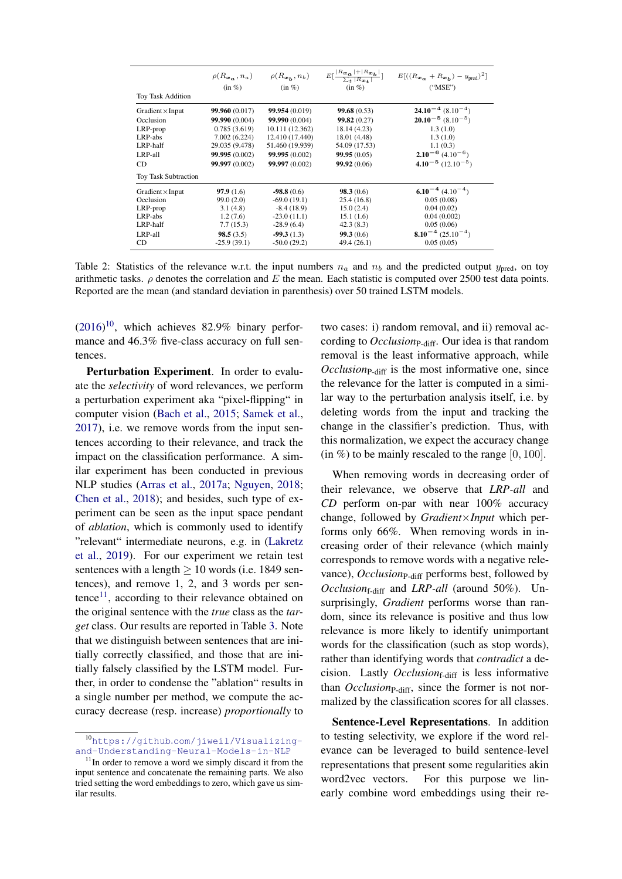<span id="page-5-0"></span>

| Toy Task Addition           | $(in \%)$      | $\rho(R_{\mathbf{x}_a}, n_a)$ $\rho(R_{\mathbf{x}_b}, n_b)$<br>$(in \%)$ | $E\left[\frac{ R_{\boldsymbol{x_a}} + R_{\boldsymbol{x_b}} }{\sum_t  R_{\boldsymbol{x_t}} }\right]$<br>$(in \%)$ | $E[((R_{\mathbf{x}_{\alpha}}+R_{\mathbf{x}_{\mathbf{b}}})-y_{\text{pred}})^{2}]$<br>("MSE") |
|-----------------------------|----------------|--------------------------------------------------------------------------|------------------------------------------------------------------------------------------------------------------|---------------------------------------------------------------------------------------------|
| Gradient $\times$ Input     | 99.960 (0.017) | 99.954 (0.019)                                                           | 99.68(0.53)                                                                                                      | $24.10^{-4}$ (8.10 <sup>-4</sup> )                                                          |
| Occlusion                   | 99.990 (0.004) | 99,990 (0.004)                                                           | 99.82(0.27)                                                                                                      | $20.10^{-5}$ (8.10 <sup>-5</sup> )                                                          |
| LRP-prop                    | 0.785(3.619)   | 10.111 (12.362)                                                          | 18.14 (4.23)                                                                                                     | 1.3(1.0)                                                                                    |
| LRP-abs                     | 7.002(6.224)   | 12.410 (17.440)                                                          | 18.01 (4.48)                                                                                                     | 1.3(1.0)                                                                                    |
| LRP-half                    | 29.035 (9.478) | 51.460 (19.939)                                                          | 54.09 (17.53)                                                                                                    | 1.1(0.3)                                                                                    |
| LRP-all                     | 99.995 (0.002) | 99.995 (0.002)                                                           | 99.95(0.05)                                                                                                      | $2.10^{-6}$ (4.10 <sup>-6</sup> )                                                           |
| CD                          | 99.997 (0.002) | 99.997 (0.002)                                                           | 99.92 (0.06)                                                                                                     | $4.10^{-5}$ (12.10 <sup>-5</sup> )                                                          |
| <b>Toy Task Subtraction</b> |                |                                                                          |                                                                                                                  |                                                                                             |
| Gradient $\times$ Input     | 97.9(1.6)      | $-98.8(0.6)$                                                             | 98.3(0.6)                                                                                                        | $6.10^{-4}$ (4.10 <sup>-4</sup> )                                                           |
| Occlusion                   | 99.0 (2.0)     | $-69.0(19.1)$                                                            | 25.4(16.8)                                                                                                       | 0.05(0.08)                                                                                  |
| LRP-prop                    | 3.1(4.8)       | $-8.4(18.9)$                                                             | 15.0(2.4)                                                                                                        | 0.04(0.02)                                                                                  |
| LRP-abs                     | 1.2(7.6)       | $-23.0(11.1)$                                                            | 15.1(1.6)                                                                                                        | 0.04(0.002)                                                                                 |
| LRP-half                    | 7.7(15.3)      | $-28.9(6.4)$                                                             | 42.3(8.3)                                                                                                        | 0.05(0.06)                                                                                  |
| LRP-all                     | 98.5(3.5)      | $-99.3(1.3)$                                                             | 99.3(0.6)                                                                                                        | $8.10^{-4}$ (25.10 <sup>-4</sup> )                                                          |
| CD                          | $-25.9(39.1)$  | $-50.0(29.2)$                                                            | 49.4 (26.1)                                                                                                      | 0.05(0.05)                                                                                  |

Table 2: Statistics of the relevance w.r.t. the input numbers  $n_a$  and  $n_b$  and the predicted output  $y_{pred}$ , on toy arithmetic tasks.  $\rho$  denotes the correlation and E the mean. Each statistic is computed over 2500 test data points. Reported are the mean (and standard deviation in parenthesis) over 50 trained LSTM models.

 $(2016)^{10}$  $(2016)^{10}$  $(2016)^{10}$  $(2016)^{10}$ , which achieves 82.9% binary performance and 46.3% five-class accuracy on full sentences.

Perturbation Experiment. In order to evaluate the *selectivity* of word relevances, we perform a perturbation experiment aka "pixel-flipping" in computer vision [\(Bach et al.,](#page-8-4) [2015;](#page-8-4) [Samek et al.,](#page-10-13) [2017\)](#page-10-13), i.e. we remove words from the input sentences according to their relevance, and track the impact on the classification performance. A similar experiment has been conducted in previous NLP studies [\(Arras et al.,](#page-8-5) [2017a;](#page-8-5) [Nguyen,](#page-10-15) [2018;](#page-10-15) [Chen et al.,](#page-8-7) [2018\)](#page-8-7); and besides, such type of experiment can be seen as the input space pendant of *ablation*, which is commonly used to identify "relevant" intermediate neurons, e.g. in [\(Lakretz](#page-9-18) [et al.,](#page-9-18) [2019\)](#page-9-18). For our experiment we retain test sentences with a length  $\geq 10$  words (i.e. 1849 sentences), and remove 1, 2, and 3 words per sen-tence<sup>[11](#page-5-2)</sup>, according to their relevance obtained on the original sentence with the *true* class as the *target* class. Our results are reported in Table [3.](#page-6-0) Note that we distinguish between sentences that are initially correctly classified, and those that are initially falsely classified by the LSTM model. Further, in order to condense the "ablation" results in a single number per method, we compute the accuracy decrease (resp. increase) *proportionally* to two cases: i) random removal, and ii) removal according to *Occlusion*<sub>P-diff</sub>. Our idea is that random removal is the least informative approach, while *Occlusion*<sub>P-diff</sub> is the most informative one, since the relevance for the latter is computed in a similar way to the perturbation analysis itself, i.e. by deleting words from the input and tracking the change in the classifier's prediction. Thus, with this normalization, we expect the accuracy change  $(in \%)$  to be mainly rescaled to the range  $[0, 100]$ .

When removing words in decreasing order of their relevance, we observe that *LRP-all* and *CD* perform on-par with near 100% accuracy change, followed by *Gradient*×*Input* which performs only 66%. When removing words in increasing order of their relevance (which mainly corresponds to remove words with a negative relevance), *Occlusion*<sub>P-diff</sub> performs best, followed by *Occlusion*f-diff and *LRP-all* (around 50%). Unsurprisingly, *Gradient* performs worse than random, since its relevance is positive and thus low relevance is more likely to identify unimportant words for the classification (such as stop words), rather than identifying words that *contradict* a decision. Lastly *Occlusion*<sub>f-diff</sub> is less informative than *Occlusion*<sub>P-diff</sub>, since the former is not normalized by the classification scores for all classes.

Sentence-Level Representations. In addition to testing selectivity, we explore if the word relevance can be leveraged to build sentence-level representations that present some regularities akin word2vec vectors. For this purpose we linearly combine word embeddings using their re-

<span id="page-5-1"></span><sup>10</sup>https://github.[com/jiweil/Visualizing](https://github.com/jiweil/Visualizing-and-Understanding-Neural-Models-in-NLP)[and-Understanding-Neural-Models-in-NLP](https://github.com/jiweil/Visualizing-and-Understanding-Neural-Models-in-NLP)

<span id="page-5-2"></span> $11$ In order to remove a word we simply discard it from the input sentence and concatenate the remaining parts. We also tried setting the word embeddings to zero, which gave us similar results.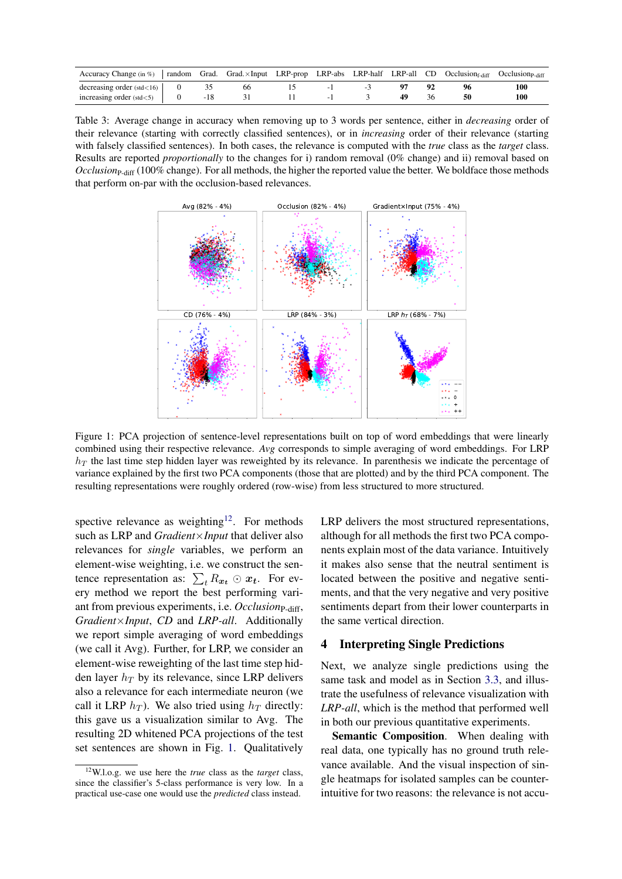<span id="page-6-0"></span>

| Accuracy Change (in $\%$ )           | random | Grad. | $Grad. \times Input$ LRP-prop |  |  | LRP-abs LRP-half LRP-all $CD$ Occlusion <sub>f-diff</sub> | Occlusion <sub>P-diff</sub> |
|--------------------------------------|--------|-------|-------------------------------|--|--|-----------------------------------------------------------|-----------------------------|
| decreasing order $(\text{std} < 16)$ |        |       |                               |  |  |                                                           | 100                         |
| increasing order $(\text{std} < 5)$  |        |       |                               |  |  |                                                           | 100                         |

Table 3: Average change in accuracy when removing up to 3 words per sentence, either in *decreasing* order of their relevance (starting with correctly classified sentences), or in *increasing* order of their relevance (starting with falsely classified sentences). In both cases, the relevance is computed with the *true* class as the *target* class. Results are reported *proportionally* to the changes for i) random removal (0% change) and ii) removal based on *Occlusion*P-diff (100% change). For all methods, the higher the reported value the better. We boldface those methods that perform on-par with the occlusion-based relevances.

<span id="page-6-2"></span>

Figure 1: PCA projection of sentence-level representations built on top of word embeddings that were linearly combined using their respective relevance. *Avg* corresponds to simple averaging of word embeddings. For LRP  $h_T$  the last time step hidden layer was reweighted by its relevance. In parenthesis we indicate the percentage of variance explained by the first two PCA components (those that are plotted) and by the third PCA component. The resulting representations were roughly ordered (row-wise) from less structured to more structured.

spective relevance as weighting<sup>[12](#page-6-1)</sup>. For methods such as LRP and *Gradient*×*Input* that deliver also relevances for *single* variables, we perform an element-wise weighting, i.e. we construct the sentence representation as:  $\sum_{t} R_{x_t} \odot x_t$ . For every method we report the best performing variant from previous experiments, i.e. *Occlusion*<sub>P-diff</sub>, *Gradient*×*Input*, *CD* and *LRP-all*. Additionally we report simple averaging of word embeddings (we call it Avg). Further, for LRP, we consider an element-wise reweighting of the last time step hidden layer  $h_T$  by its relevance, since LRP delivers also a relevance for each intermediate neuron (we call it LRP  $h_T$ ). We also tried using  $h_T$  directly: this gave us a visualization similar to Avg. The resulting 2D whitened PCA projections of the test set sentences are shown in Fig. [1.](#page-6-2) Qualitatively

LRP delivers the most structured representations, although for all methods the first two PCA components explain most of the data variance. Intuitively it makes also sense that the neutral sentiment is located between the positive and negative sentiments, and that the very negative and very positive sentiments depart from their lower counterparts in the same vertical direction.

## 4 Interpreting Single Predictions

Next, we analyze single predictions using the same task and model as in Section [3.3,](#page-4-2) and illustrate the usefulness of relevance visualization with *LRP-all*, which is the method that performed well in both our previous quantitative experiments.

Semantic Composition. When dealing with real data, one typically has no ground truth relevance available. And the visual inspection of single heatmaps for isolated samples can be counterintuitive for two reasons: the relevance is not accu-

<span id="page-6-1"></span><sup>12</sup>W.l.o.g. we use here the *true* class as the *target* class, since the classifier's 5-class performance is very low. In a practical use-case one would use the *predicted* class instead.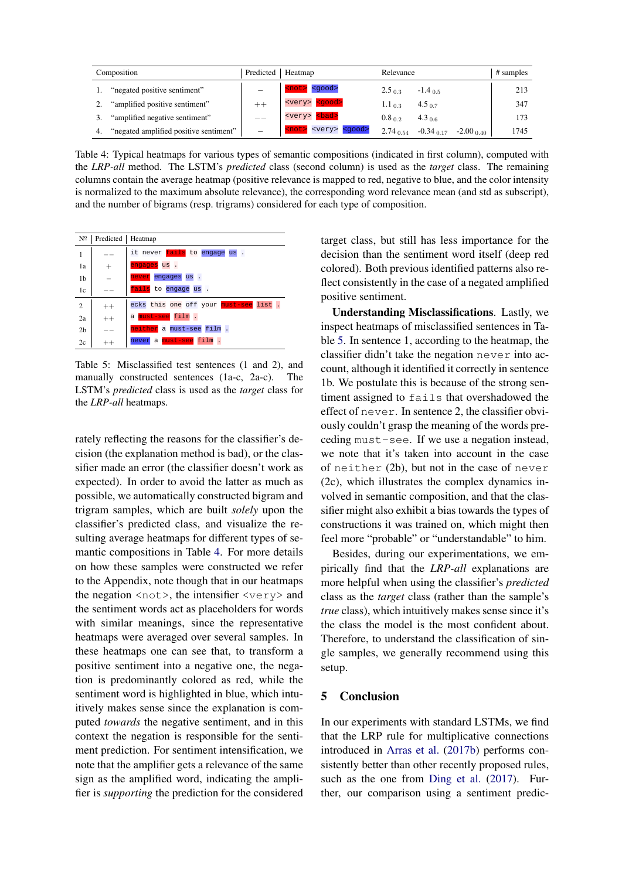<span id="page-7-0"></span>

| Composition                                  | Predicted | Heatmap                                     | Relevance       |                    | # samples            |
|----------------------------------------------|-----------|---------------------------------------------|-----------------|--------------------|----------------------|
| "negated positive sentiment"                 |           | <not> <good></good></not>                   | $2.5_{0.3}$     | $-1.4$ 0.5         | 213                  |
| "amplified positive sentiment"               |           | <very> <good></good></very>                 | $1.1_{\,0.3}$   | 4.5 <sub>0.7</sub> | 347                  |
| "amplified negative sentiment"               |           | <very> <bad></bad></very>                   | $0.8_{0.2}$     | $4.3_{0.6}$        | 173                  |
| "negated amplified positive sentiment"<br>4. |           | <very> <good><br/><not></not></good></very> | $2.74_{\,0.54}$ | $-0.34$ 0.17       | $-2.00$ 0.40<br>1745 |

Table 4: Typical heatmaps for various types of semantic compositions (indicated in first column), computed with the *LRP-all* method. The LSTM's *predicted* class (second column) is used as the *target* class. The remaining columns contain the average heatmap (positive relevance is mapped to red, negative to blue, and the color intensity is normalized to the maximum absolute relevance), the corresponding word relevance mean (and std as subscript), and the number of bigrams (resp. trigrams) considered for each type of composition.

<span id="page-7-1"></span>

| $N^{\Omega}$   | Predicted   Heatmap |                                            |
|----------------|---------------------|--------------------------------------------|
| 1              |                     | it never fails to engage us.               |
| 1a             | $^{+}$              | engages us.                                |
| 1 <sub>b</sub> |                     | never engages us.                          |
| 1c             |                     | fails to engage us .                       |
| $\overline{2}$ | $^{++}$             | ecks this one off your must-see list.      |
| 2a             | $^{++}$             | a <mark>must-see</mark> film .             |
| 2 <sub>b</sub> |                     | neither a must-see film.                   |
| 2c             |                     | a <mark>must-see</mark><br>film .<br>never |

Table 5: Misclassified test sentences (1 and 2), and manually constructed sentences (1a-c, 2a-c). The LSTM's *predicted* class is used as the *target* class for the *LRP-all* heatmaps.

rately reflecting the reasons for the classifier's decision (the explanation method is bad), or the classifier made an error (the classifier doesn't work as expected). In order to avoid the latter as much as possible, we automatically constructed bigram and trigram samples, which are built *solely* upon the classifier's predicted class, and visualize the resulting average heatmaps for different types of semantic compositions in Table [4.](#page-7-0) For more details on how these samples were constructed we refer to the Appendix, note though that in our heatmaps the negation <not>, the intensifier <very> and the sentiment words act as placeholders for words with similar meanings, since the representative heatmaps were averaged over several samples. In these heatmaps one can see that, to transform a positive sentiment into a negative one, the negation is predominantly colored as red, while the sentiment word is highlighted in blue, which intuitively makes sense since the explanation is computed *towards* the negative sentiment, and in this context the negation is responsible for the sentiment prediction. For sentiment intensification, we note that the amplifier gets a relevance of the same sign as the amplified word, indicating the amplifier is *supporting* the prediction for the considered target class, but still has less importance for the decision than the sentiment word itself (deep red colored). Both previous identified patterns also reflect consistently in the case of a negated amplified positive sentiment.

Understanding Misclassifications. Lastly, we inspect heatmaps of misclassified sentences in Table [5.](#page-7-1) In sentence 1, according to the heatmap, the classifier didn't take the negation never into account, although it identified it correctly in sentence 1b. We postulate this is because of the strong sentiment assigned to fails that overshadowed the effect of never. In sentence 2, the classifier obviously couldn't grasp the meaning of the words preceding must-see. If we use a negation instead, we note that it's taken into account in the case of neither (2b), but not in the case of never (2c), which illustrates the complex dynamics involved in semantic composition, and that the classifier might also exhibit a bias towards the types of constructions it was trained on, which might then feel more "probable" or "understandable" to him.

Besides, during our experimentations, we empirically find that the *LRP-all* explanations are more helpful when using the classifier's *predicted* class as the *target* class (rather than the sample's *true* class), which intuitively makes sense since it's the class the model is the most confident about. Therefore, to understand the classification of single samples, we generally recommend using this setup.

### 5 Conclusion

In our experiments with standard LSTMs, we find that the LRP rule for multiplicative connections introduced in [Arras et al.](#page-8-6) [\(2017b\)](#page-8-6) performs consistently better than other recently proposed rules, such as the one from [Ding et al.](#page-9-7) [\(2017\)](#page-9-7). Further, our comparison using a sentiment predic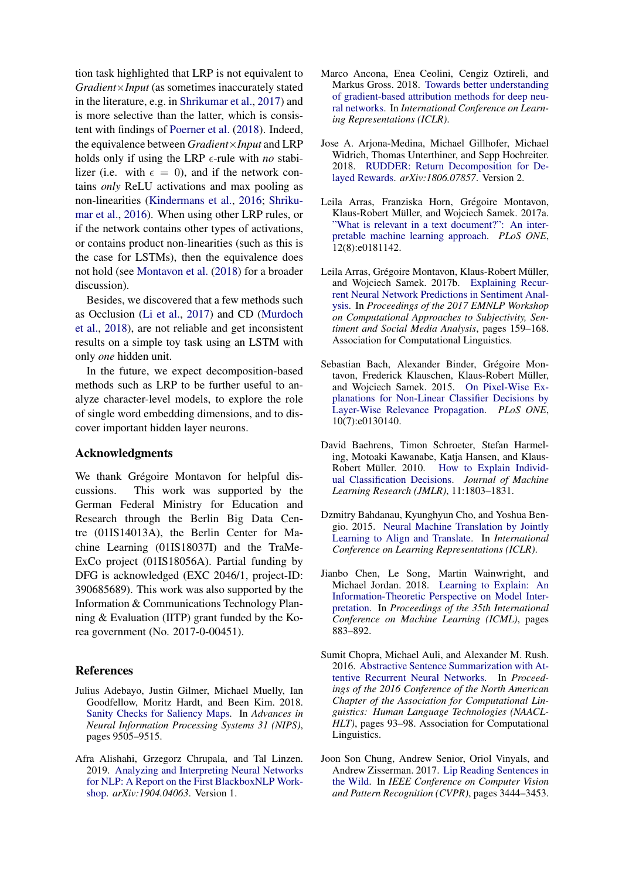tion task highlighted that LRP is not equivalent to *Gradient*×*Input* (as sometimes inaccurately stated in the literature, e.g. in [Shrikumar et al.,](#page-10-8) [2017\)](#page-10-8) and is more selective than the latter, which is consistent with findings of [Poerner et al.](#page-10-6) [\(2018\)](#page-10-6). Indeed, the equivalence between *Gradient*×*Input* and LRP holds only if using the LRP  $\epsilon$ -rule with *no* stabilizer (i.e. with  $\epsilon = 0$ ), and if the network contains *only* ReLU activations and max pooling as non-linearities [\(Kindermans et al.,](#page-9-19) [2016;](#page-9-19) [Shriku](#page-10-17)[mar et al.,](#page-10-17) [2016\)](#page-10-17). When using other LRP rules, or if the network contains other types of activations, or contains product non-linearities (such as this is the case for LSTMs), then the equivalence does not hold (see [Montavon et al.](#page-10-9) [\(2018\)](#page-10-9) for a broader discussion).

Besides, we discovered that a few methods such as Occlusion [\(Li et al.,](#page-9-6) [2017\)](#page-9-6) and CD [\(Murdoch](#page-10-5) [et al.,](#page-10-5) [2018\)](#page-10-5), are not reliable and get inconsistent results on a simple toy task using an LSTM with only *one* hidden unit.

In the future, we expect decomposition-based methods such as LRP to be further useful to analyze character-level models, to explore the role of single word embedding dimensions, and to discover important hidden layer neurons.

#### Acknowledgments

We thank Grégoire Montavon for helpful discussions. This work was supported by the German Federal Ministry for Education and Research through the Berlin Big Data Centre (01IS14013A), the Berlin Center for Machine Learning (01IS18037I) and the TraMe-ExCo project (01IS18056A). Partial funding by DFG is acknowledged (EXC 2046/1, project-ID: 390685689). This work was also supported by the Information & Communications Technology Planning & Evaluation (IITP) grant funded by the Korea government (No. 2017-0-00451).

### References

- <span id="page-8-11"></span>Julius Adebayo, Justin Gilmer, Michael Muelly, Ian Goodfellow, Moritz Hardt, and Been Kim. 2018. [Sanity Checks for Saliency Maps.](http://papers.nips.cc/paper/8160-sanity-checks-for-saliency-maps.pdf) In *Advances in Neural Information Processing Systems 31 (NIPS)*, pages 9505–9515.
- <span id="page-8-10"></span>Afra Alishahi, Grzegorz Chrupala, and Tal Linzen. 2019. [Analyzing and Interpreting Neural Networks](https://arxiv.org/pdf/1904.04063.pdf) [for NLP: A Report on the First BlackboxNLP Work](https://arxiv.org/pdf/1904.04063.pdf)[shop.](https://arxiv.org/pdf/1904.04063.pdf) *arXiv:1904.04063*. Version 1.
- <span id="page-8-9"></span>Marco Ancona, Enea Ceolini, Cengiz Oztireli, and Markus Gross. 2018. [Towards better understanding](https://arxiv.org/pdf/1711.06104.pdf) [of gradient-based attribution methods for deep neu](https://arxiv.org/pdf/1711.06104.pdf)[ral networks.](https://arxiv.org/pdf/1711.06104.pdf) In *International Conference on Learning Representations (ICLR)*.
- <span id="page-8-8"></span>Jose A. Arjona-Medina, Michael Gillhofer, Michael Widrich, Thomas Unterthiner, and Sepp Hochreiter. 2018. [RUDDER: Return Decomposition for De](https://arxiv.org/pdf/1806.07857.pdf)[layed Rewards.](https://arxiv.org/pdf/1806.07857.pdf) *arXiv:1806.07857*. Version 2.
- <span id="page-8-5"></span>Leila Arras, Franziska Horn, Grégoire Montavon, Klaus-Robert Müller, and Wojciech Samek. 2017a. ["What is relevant in a text document?": An inter](https://journals.plos.org/plosone/article?id=10.1371/journal.pone.0181142)[pretable machine learning approach.](https://journals.plos.org/plosone/article?id=10.1371/journal.pone.0181142) *PLoS ONE*, 12(8):e0181142.
- <span id="page-8-6"></span>Leila Arras, Grégoire Montavon, Klaus-Robert Müller, and Wojciech Samek. 2017b. [Explaining Recur](http://www.aclweb.org/anthology/W17-5221)[rent Neural Network Predictions in Sentiment Anal](http://www.aclweb.org/anthology/W17-5221)[ysis.](http://www.aclweb.org/anthology/W17-5221) In *Proceedings of the 2017 EMNLP Workshop on Computational Approaches to Subjectivity, Sentiment and Social Media Analysis*, pages 159–168. Association for Computational Linguistics.
- <span id="page-8-4"></span>Sebastian Bach, Alexander Binder, Grégoire Montavon, Frederick Klauschen, Klaus-Robert Müller, and Wojciech Samek. 2015. [On Pixel-Wise Ex](https://journals.plos.org/plosone/article?id=10.1371/journal.pone.0130140)[planations for Non-Linear Classifier Decisions by](https://journals.plos.org/plosone/article?id=10.1371/journal.pone.0130140) [Layer-Wise Relevance Propagation.](https://journals.plos.org/plosone/article?id=10.1371/journal.pone.0130140) *PLoS ONE*, 10(7):e0130140.
- <span id="page-8-3"></span>David Baehrens, Timon Schroeter, Stefan Harmeling, Motoaki Kawanabe, Katja Hansen, and Klaus-Robert Müller. 2010. [How to Explain Individ](http://www.jmlr.org/papers/volume11/baehrens10a/baehrens10a.pdf)[ual Classification Decisions.](http://www.jmlr.org/papers/volume11/baehrens10a/baehrens10a.pdf) *Journal of Machine Learning Research (JMLR)*, 11:1803–1831.
- <span id="page-8-1"></span>Dzmitry Bahdanau, Kyunghyun Cho, and Yoshua Bengio. 2015. [Neural Machine Translation by Jointly](https://arxiv.org/pdf/1409.0473.pdf) [Learning to Align and Translate.](https://arxiv.org/pdf/1409.0473.pdf) In *International Conference on Learning Representations (ICLR)*.
- <span id="page-8-7"></span>Jianbo Chen, Le Song, Martin Wainwright, and Michael Jordan. 2018. [Learning to Explain: An](http://proceedings.mlr.press/v80/chen18j/chen18j.pdf) [Information-Theoretic Perspective on Model Inter](http://proceedings.mlr.press/v80/chen18j/chen18j.pdf)[pretation.](http://proceedings.mlr.press/v80/chen18j/chen18j.pdf) In *Proceedings of the 35th International Conference on Machine Learning (ICML)*, pages 883–892.
- <span id="page-8-0"></span>Sumit Chopra, Michael Auli, and Alexander M. Rush. 2016. [Abstractive Sentence Summarization with At](https://doi.org/10.18653/v1/N16-1012)[tentive Recurrent Neural Networks.](https://doi.org/10.18653/v1/N16-1012) In *Proceedings of the 2016 Conference of the North American Chapter of the Association for Computational Linguistics: Human Language Technologies (NAACL-HLT)*, pages 93–98. Association for Computational Linguistics.
- <span id="page-8-2"></span>Joon Son Chung, Andrew Senior, Oriol Vinyals, and Andrew Zisserman. 2017. [Lip Reading Sentences in](https://doi.org/10.1109/CVPR.2017.367) [the Wild.](https://doi.org/10.1109/CVPR.2017.367) In *IEEE Conference on Computer Vision and Pattern Recognition (CVPR)*, pages 3444–3453.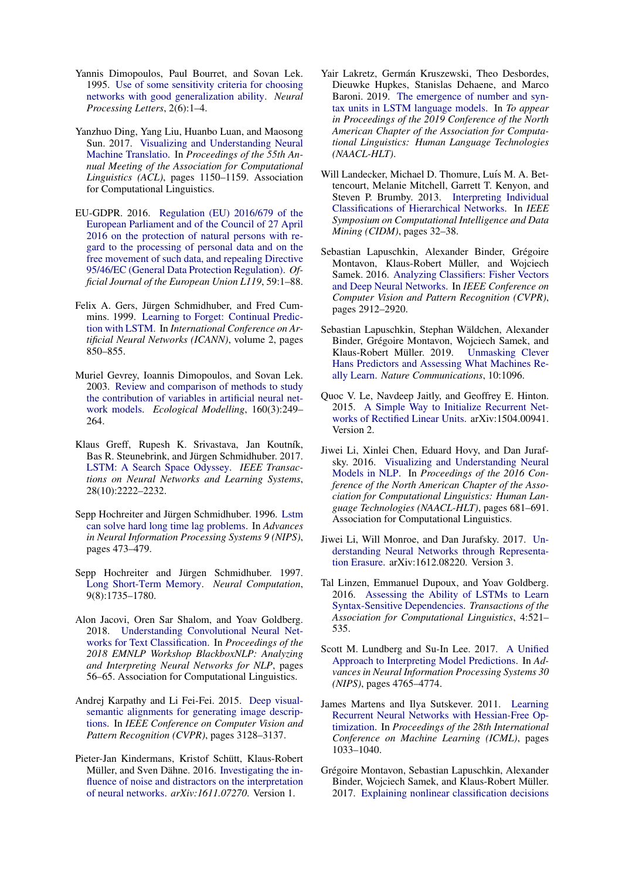- <span id="page-9-9"></span>Yannis Dimopoulos, Paul Bourret, and Sovan Lek. 1995. [Use of some sensitivity criteria for choosing](https://link.springer.com/article/10.1007/BF02309007) [networks with good generalization ability.](https://link.springer.com/article/10.1007/BF02309007) *Neural Processing Letters*, 2(6):1–4.
- <span id="page-9-7"></span>Yanzhuo Ding, Yang Liu, Huanbo Luan, and Maosong Sun. 2017. [Visualizing and Understanding Neural](https://doi.org/10.18653/v1/P17-1106) [Machine Translatio.](https://doi.org/10.18653/v1/P17-1106) In *Proceedings of the 55th Annual Meeting of the Association for Computational Linguistics (ACL)*, pages 1150–1159. Association for Computational Linguistics.
- <span id="page-9-3"></span>EU-GDPR. 2016. [Regulation \(EU\) 2016/679 of the](http://data.europa.eu/eli/reg/2016/679/oj) [European Parliament and of the Council of 27 April](http://data.europa.eu/eli/reg/2016/679/oj) [2016 on the protection of natural persons with re](http://data.europa.eu/eli/reg/2016/679/oj)[gard to the processing of personal data and on the](http://data.europa.eu/eli/reg/2016/679/oj) [free movement of such data, and repealing Directive](http://data.europa.eu/eli/reg/2016/679/oj) [95/46/EC \(General Data Protection Regulation\).](http://data.europa.eu/eli/reg/2016/679/oj) *Official Journal of the European Union L119*, 59:1–88.
- <span id="page-9-20"></span>Felix A. Gers, Jürgen Schmidhuber, and Fred Cummins. 1999. [Learning to Forget: Continual Predic](https://ieeexplore.ieee.org/abstract/document/818041)[tion with LSTM.](https://ieeexplore.ieee.org/abstract/document/818041) In *International Conference on Artificial Neural Networks (ICANN)*, volume 2, pages 850–855.
- <span id="page-9-10"></span>Muriel Gevrey, Ioannis Dimopoulos, and Sovan Lek. 2003. [Review and comparison of methods to study](https://www.sciencedirect.com/science/article/pii/S0304380002002570) [the contribution of variables in artificial neural net](https://www.sciencedirect.com/science/article/pii/S0304380002002570)[work models.](https://www.sciencedirect.com/science/article/pii/S0304380002002570) *Ecological Modelling*, 160(3):249– 264.
- <span id="page-9-21"></span>Klaus Greff, Rupesh K. Srivastava, Jan Koutník, Bas R. Steunebrink, and Jürgen Schmidhuber. 2017. [LSTM: A Search Space Odyssey.](https://ieeexplore.ieee.org/document/7508408) *IEEE Transactions on Neural Networks and Learning Systems*, 28(10):2222–2232.
- <span id="page-9-15"></span>Sepp Hochreiter and Jürgen Schmidhuber. 1996. [Lstm](http://papers.nips.cc/paper/1215-lstm-can-solve-hard-long-time-lag-problems.pdf) [can solve hard long time lag problems.](http://papers.nips.cc/paper/1215-lstm-can-solve-hard-long-time-lag-problems.pdf) In *Advances in Neural Information Processing Systems 9 (NIPS)*, pages 473–479.
- <span id="page-9-0"></span>Sepp Hochreiter and Jürgen Schmidhuber. 1997. [Long Short-Term Memory.](https://www.bioinf.jku.at/publications/older/2604.pdf) *Neural Computation*, 9(8):1735–1780.
- <span id="page-9-4"></span>Alon Jacovi, Oren Sar Shalom, and Yoav Goldberg. 2018. [Understanding Convolutional Neural Net](https://www.aclweb.org/anthology/W18-5408)[works for Text Classification.](https://www.aclweb.org/anthology/W18-5408) In *Proceedings of the 2018 EMNLP Workshop BlackboxNLP: Analyzing and Interpreting Neural Networks for NLP*, pages 56–65. Association for Computational Linguistics.
- <span id="page-9-1"></span>Andrej Karpathy and Li Fei-Fei. 2015. [Deep visual](https://doi.org/10.1109/CVPR.2015.7298932)[semantic alignments for generating image descrip](https://doi.org/10.1109/CVPR.2015.7298932)[tions.](https://doi.org/10.1109/CVPR.2015.7298932) In *IEEE Conference on Computer Vision and Pattern Recognition (CVPR)*, pages 3128–3137.
- <span id="page-9-19"></span>Pieter-Jan Kindermans, Kristof Schütt, Klaus-Robert Müller, and Sven Dähne. 2016. [Investigating the in](https://arxiv.org/pdf/1611.07270.pdf)[fluence of noise and distractors on the interpretation](https://arxiv.org/pdf/1611.07270.pdf) [of neural networks.](https://arxiv.org/pdf/1611.07270.pdf) *arXiv:1611.07270*. Version 1.
- <span id="page-9-18"></span>Yair Lakretz, Germán Kruszewski, Theo Desbordes, Dieuwke Hupkes, Stanislas Dehaene, and Marco Baroni. 2019. [The emergence of number and syn](https://arxiv.org/pdf/1903.07435.pdf)[tax units in LSTM language models.](https://arxiv.org/pdf/1903.07435.pdf) In *To appear in Proceedings of the 2019 Conference of the North American Chapter of the Association for Computational Linguistics: Human Language Technologies (NAACL-HLT)*.
- <span id="page-9-13"></span>Will Landecker, Michael D. Thomure, Luís M. A. Bettencourt, Melanie Mitchell, Garrett T. Kenyon, and Steven P. Brumby. 2013. [Interpreting Individual](https://ieeexplore.ieee.org/document/6597214) [Classifications of Hierarchical Networks.](https://ieeexplore.ieee.org/document/6597214) In *IEEE Symposium on Computational Intelligence and Data Mining (CIDM)*, pages 32–38.
- <span id="page-9-11"></span>Sebastian Lapuschkin, Alexander Binder, Grégoire Montavon, Klaus-Robert Müller, and Wojciech Samek. 2016. [Analyzing Classifiers: Fisher Vectors](https://doi.org/10.1109/CVPR.2016.318) [and Deep Neural Networks.](https://doi.org/10.1109/CVPR.2016.318) In *IEEE Conference on Computer Vision and Pattern Recognition (CVPR)*, pages 2912–2920.
- <span id="page-9-2"></span>Sebastian Lapuschkin, Stephan Wäldchen, Alexander Binder, Grégoire Montavon, Wojciech Samek, and Klaus-Robert Müller. 2019. [Unmasking Clever](https://www.nature.com/articles/s41467-019-08987-4) [Hans Predictors and Assessing What Machines Re](https://www.nature.com/articles/s41467-019-08987-4)[ally Learn.](https://www.nature.com/articles/s41467-019-08987-4) *Nature Communications*, 10:1096.
- <span id="page-9-17"></span>Quoc V. Le, Navdeep Jaitly, and Geoffrey E. Hinton. 2015. [A Simple Way to Initialize Recurrent Net](https://arxiv.org/pdf/1504.00941.pdf)[works of Rectified Linear Units.](https://arxiv.org/pdf/1504.00941.pdf) arXiv:1504.00941. Version 2.
- <span id="page-9-5"></span>Jiwei Li, Xinlei Chen, Eduard Hovy, and Dan Jurafsky. 2016. [Visualizing and Understanding Neural](http://www.aclweb.org/anthology/N16-1082) [Models in NLP.](http://www.aclweb.org/anthology/N16-1082) In *Proceedings of the 2016 Conference of the North American Chapter of the Association for Computational Linguistics: Human Language Technologies (NAACL-HLT)*, pages 681–691. Association for Computational Linguistics.
- <span id="page-9-6"></span>Jiwei Li, Will Monroe, and Dan Jurafsky. 2017. [Un](https://arxiv.org/abs/1612.08220)[derstanding Neural Networks through Representa](https://arxiv.org/abs/1612.08220)[tion Erasure.](https://arxiv.org/abs/1612.08220) arXiv:1612.08220. Version 3.
- <span id="page-9-14"></span>Tal Linzen, Emmanuel Dupoux, and Yoav Goldberg. 2016. [Assessing the Ability of LSTMs to Learn](https://doi.org/10.1162/tacl_a_00115) [Syntax-Sensitive Dependencies.](https://doi.org/10.1162/tacl_a_00115) *Transactions of the Association for Computational Linguistics*, 4:521– 535.
- <span id="page-9-8"></span>Scott M. Lundberg and Su-In Lee. 2017. [A Unified](https://papers.nips.cc/paper/7062-a-unified-approach-to-interpreting-model-predictions.pdf) [Approach to Interpreting Model Predictions.](https://papers.nips.cc/paper/7062-a-unified-approach-to-interpreting-model-predictions.pdf) In *Advances in Neural Information Processing Systems 30 (NIPS)*, pages 4765–4774.
- <span id="page-9-16"></span>James Martens and Ilya Sutskever. 2011. [Learning](http://www.icml-2011.org/papers/532_icmlpaper.pdf) [Recurrent Neural Networks with Hessian-Free Op](http://www.icml-2011.org/papers/532_icmlpaper.pdf)[timization.](http://www.icml-2011.org/papers/532_icmlpaper.pdf) In *Proceedings of the 28th International Conference on Machine Learning (ICML)*, pages 1033–1040.
- <span id="page-9-12"></span>Grégoire Montavon, Sebastian Lapuschkin, Alexander Binder, Wojciech Samek, and Klaus-Robert Müller. 2017. [Explaining nonlinear classification decisions](https://www.sciencedirect.com/science/article/pii/S0031320316303582)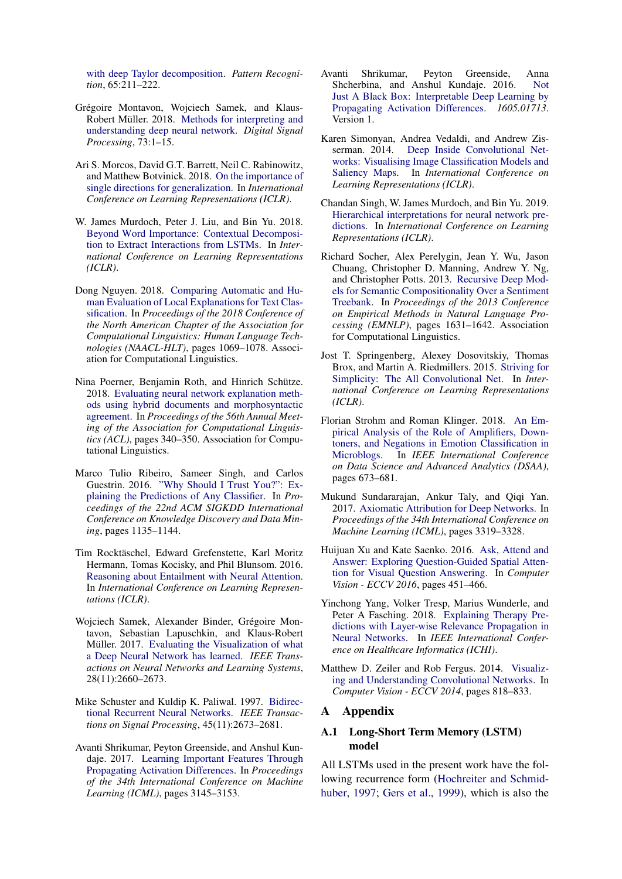[with deep Taylor decomposition.](https://www.sciencedirect.com/science/article/pii/S0031320316303582) *Pattern Recognition*, 65:211–222.

- <span id="page-10-9"></span>Grégoire Montavon, Wojciech Samek, and Klaus-Robert Müller. 2018. [Methods for interpreting and](https://doi.org/10.1016/j.dsp.2017.10.011) [understanding deep neural network.](https://doi.org/10.1016/j.dsp.2017.10.011) *Digital Signal Processing*, 73:1–15.
- <span id="page-10-14"></span>Ari S. Morcos, David G.T. Barrett, Neil C. Rabinowitz, and Matthew Botvinick. 2018. [On the importance of](https://openreview.net/pdf?id=r1iuQjxCZ) [single directions for generalization.](https://openreview.net/pdf?id=r1iuQjxCZ) In *International Conference on Learning Representations (ICLR)*.
- <span id="page-10-5"></span>W. James Murdoch, Peter J. Liu, and Bin Yu. 2018. [Beyond Word Importance: Contextual Decomposi](https://openreview.net/pdf?id=rkRwGg-0Z)[tion to Extract Interactions from LSTMs.](https://openreview.net/pdf?id=rkRwGg-0Z) In *International Conference on Learning Representations (ICLR)*.
- <span id="page-10-15"></span>Dong Nguyen. 2018. [Comparing Automatic and Hu](http://www.aclweb.org/anthology/N18-1097)[man Evaluation of Local Explanations for Text Clas](http://www.aclweb.org/anthology/N18-1097)[sification.](http://www.aclweb.org/anthology/N18-1097) In *Proceedings of the 2018 Conference of the North American Chapter of the Association for Computational Linguistics: Human Language Technologies (NAACL-HLT)*, pages 1069–1078. Association for Computational Linguistics.
- <span id="page-10-6"></span>Nina Poerner, Benjamin Roth, and Hinrich Schütze. 2018. [Evaluating neural network explanation meth](http://aclweb.org/anthology/P18-1032)[ods using hybrid documents and morphosyntactic](http://aclweb.org/anthology/P18-1032) [agreement.](http://aclweb.org/anthology/P18-1032) In *Proceedings of the 56th Annual Meeting of the Association for Computational Linguistics (ACL)*, pages 340–350. Association for Computational Linguistics.
- <span id="page-10-7"></span>Marco Tulio Ribeiro, Sameer Singh, and Carlos Guestrin. 2016. ["Why Should I Trust You?": Ex](https://www.kdd.org/kdd2016/papers/files/rfp0573-ribeiroA.pdf)[plaining the Predictions of Any Classifier.](https://www.kdd.org/kdd2016/papers/files/rfp0573-ribeiroA.pdf) In *Proceedings of the 22nd ACM SIGKDD International Conference on Knowledge Discovery and Data Mining*, pages 1135–1144.
- <span id="page-10-0"></span>Tim Rocktäschel, Edward Grefenstette, Karl Moritz Hermann, Tomas Kocisky, and Phil Blunsom. 2016. [Reasoning about Entailment with Neural Attention.](https://arxiv.org/pdf/1509.06664.pdf) In *International Conference on Learning Representations (ICLR)*.
- <span id="page-10-13"></span>Wojciech Samek, Alexander Binder, Grégoire Montavon, Sebastian Lapuschkin, and Klaus-Robert Müller. 2017. [Evaluating the Visualization of what](https://ieeexplore.ieee.org/document/7552539) [a Deep Neural Network has learned.](https://ieeexplore.ieee.org/document/7552539) *IEEE Transactions on Neural Networks and Learning Systems*, 28(11):2660–2673.
- <span id="page-10-18"></span>Mike Schuster and Kuldip K. Paliwal. 1997. [Bidirec](https://ieeexplore.ieee.org/document/650093)[tional Recurrent Neural Networks.](https://ieeexplore.ieee.org/document/650093) *IEEE Transactions on Signal Processing*, 45(11):2673–2681.
- <span id="page-10-8"></span>Avanti Shrikumar, Peyton Greenside, and Anshul Kundaje. 2017. [Learning Important Features Through](http://proceedings.mlr.press/v70/shrikumar17a/shrikumar17a.pdf) [Propagating Activation Differences.](http://proceedings.mlr.press/v70/shrikumar17a/shrikumar17a.pdf) In *Proceedings of the 34th International Conference on Machine Learning (ICML)*, pages 3145–3153.
- <span id="page-10-17"></span>Avanti Shrikumar, Peyton Greenside, Anna Shcherbina, and Anshul Kundaje. 2016. [Not](https://arxiv.org/pdf/1605.01713v1.pdf) [Just A Black Box: Interpretable Deep Learning by](https://arxiv.org/pdf/1605.01713v1.pdf) [Propagating Activation Differences.](https://arxiv.org/pdf/1605.01713v1.pdf) *1605.01713*. Version 1.
- <span id="page-10-3"></span>Karen Simonyan, Andrea Vedaldi, and Andrew Zisserman. 2014. [Deep Inside Convolutional Net](https://arxiv.org/pdf/1312.6034.pdf)[works: Visualising Image Classification Models and](https://arxiv.org/pdf/1312.6034.pdf) [Saliency Maps.](https://arxiv.org/pdf/1312.6034.pdf) In *International Conference on Learning Representations (ICLR)*.
- <span id="page-10-11"></span>Chandan Singh, W. James Murdoch, and Bin Yu. 2019. [Hierarchical interpretations for neural network pre](https://openreview.net/pdf?id=SkEqro0ctQ)[dictions.](https://openreview.net/pdf?id=SkEqro0ctQ) In *International Conference on Learning Representations (ICLR)*.
- <span id="page-10-16"></span>Richard Socher, Alex Perelygin, Jean Y. Wu, Jason Chuang, Christopher D. Manning, Andrew Y. Ng, and Christopher Potts. 2013. [Recursive Deep Mod](http://aclweb.org/anthology/D13-1170)[els for Semantic Compositionality Over a Sentiment](http://aclweb.org/anthology/D13-1170) [Treebank.](http://aclweb.org/anthology/D13-1170) In *Proceedings of the 2013 Conference on Empirical Methods in Natural Language Processing (EMNLP)*, pages 1631–1642. Association for Computational Linguistics.
- <span id="page-10-4"></span>Jost T. Springenberg, Alexey Dosovitskiy, Thomas Brox, and Martin A. Riedmillers. 2015. [Striving for](https://arxiv.org/pdf/1412.6806.pdf) [Simplicity: The All Convolutional Net.](https://arxiv.org/pdf/1412.6806.pdf) In *International Conference on Learning Representations (ICLR)*.
- <span id="page-10-19"></span>Florian Strohm and Roman Klinger. 2018. [An Em](https://ieeexplore.ieee.org/document/8631476)[pirical Analysis of the Role of Amplifiers, Down](https://ieeexplore.ieee.org/document/8631476)[toners, and Negations in Emotion Classification in](https://ieeexplore.ieee.org/document/8631476) [Microblogs.](https://ieeexplore.ieee.org/document/8631476) In *IEEE International Conference on Data Science and Advanced Analytics (DSAA)*, pages 673–681.
- <span id="page-10-12"></span>Mukund Sundararajan, Ankur Taly, and Qiqi Yan. 2017. [Axiomatic Attribution for Deep Networks.](http://proceedings.mlr.press/v70/sundararajan17a/sundararajan17a.pdf) In *Proceedings of the 34th International Conference on Machine Learning (ICML)*, pages 3319–3328.
- <span id="page-10-1"></span>Huijuan Xu and Kate Saenko. 2016. [Ask, Attend and](https://link.springer.com/chapter/10.1007/978-3-319-46478-7_28) [Answer: Exploring Question-Guided Spatial Atten](https://link.springer.com/chapter/10.1007/978-3-319-46478-7_28)[tion for Visual Question Answering.](https://link.springer.com/chapter/10.1007/978-3-319-46478-7_28) In *Computer Vision - ECCV 2016*, pages 451–466.
- <span id="page-10-10"></span>Yinchong Yang, Volker Tresp, Marius Wunderle, and Peter A Fasching. 2018. [Explaining Therapy Pre](https://ieeexplore.ieee.org/document/8419358)[dictions with Layer-wise Relevance Propagation in](https://ieeexplore.ieee.org/document/8419358) [Neural Networks.](https://ieeexplore.ieee.org/document/8419358) In *IEEE International Conference on Healthcare Informatics (ICHI)*.
- <span id="page-10-2"></span>Matthew D. Zeiler and Rob Fergus. 2014. [Visualiz](https://link.springer.com/chapter/10.1007/978-3-319-10590-1_53)[ing and Understanding Convolutional Networks.](https://link.springer.com/chapter/10.1007/978-3-319-10590-1_53) In *Computer Vision - ECCV 2014*, pages 818–833.

#### A Appendix

### A.1 Long-Short Term Memory (LSTM) model

All LSTMs used in the present work have the following recurrence form [\(Hochreiter and Schmid](#page-9-0)[huber,](#page-9-0) [1997;](#page-9-0) [Gers et al.,](#page-9-20) [1999\)](#page-9-20), which is also the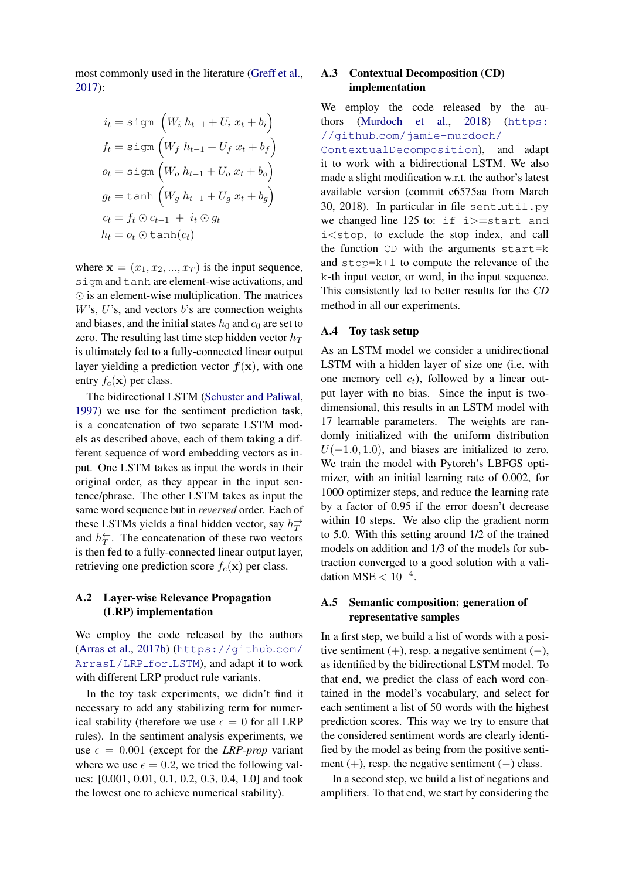most commonly used in the literature [\(Greff et al.,](#page-9-21) [2017\)](#page-9-21):

$$
i_t = \text{sign}\left(W_i h_{t-1} + U_i x_t + b_i\right)
$$
  
\n
$$
f_t = \text{sign}\left(W_f h_{t-1} + U_f x_t + b_f\right)
$$
  
\n
$$
o_t = \text{sign}\left(W_o h_{t-1} + U_o x_t + b_o\right)
$$
  
\n
$$
g_t = \text{tanh}\left(W_g h_{t-1} + U_g x_t + b_g\right)
$$
  
\n
$$
c_t = f_t \odot c_{t-1} + i_t \odot g_t
$$
  
\n
$$
h_t = o_t \odot \text{tanh}(c_t)
$$

where  $\mathbf{x} = (x_1, x_2, ..., x_T)$  is the input sequence, sigm and tanh are element-wise activations, and  $\odot$  is an element-wise multiplication. The matrices  $W$ 's,  $U$ 's, and vectors  $b$ 's are connection weights and biases, and the initial states  $h_0$  and  $c_0$  are set to zero. The resulting last time step hidden vector  $h_T$ is ultimately fed to a fully-connected linear output layer yielding a prediction vector  $f(x)$ , with one entry  $f_c(\mathbf{x})$  per class.

The bidirectional LSTM [\(Schuster and Paliwal,](#page-10-18) [1997\)](#page-10-18) we use for the sentiment prediction task, is a concatenation of two separate LSTM models as described above, each of them taking a different sequence of word embedding vectors as input. One LSTM takes as input the words in their original order, as they appear in the input sentence/phrase. The other LSTM takes as input the same word sequence but in *reversed* order. Each of these LSTMs yields a final hidden vector, say  $h_T^{\rightarrow}$ and  $h_T^{\leftarrow}$ . The concatenation of these two vectors is then fed to a fully-connected linear output layer, retrieving one prediction score  $f_c(\mathbf{x})$  per class.

# A.2 Layer-wise Relevance Propagation (LRP) implementation

We employ the code released by the authors [\(Arras et al.,](#page-8-6) [2017b\)](#page-8-6) ([https://github](https://github.com/ArrasL/LRP_for_LSTM).com/ [ArrasL/LRP](https://github.com/ArrasL/LRP_for_LSTM) for LSTM), and adapt it to work with different LRP product rule variants.

In the toy task experiments, we didn't find it necessary to add any stabilizing term for numerical stability (therefore we use  $\epsilon = 0$  for all LRP rules). In the sentiment analysis experiments, we use  $\epsilon = 0.001$  (except for the *LRP-prop* variant where we use  $\epsilon = 0.2$ , we tried the following values: [0.001, 0.01, 0.1, 0.2, 0.3, 0.4, 1.0] and took the lowest one to achieve numerical stability).

# A.3 Contextual Decomposition (CD) implementation

We employ the code released by the authors [\(Murdoch et al.,](#page-10-5) [2018\)](#page-10-5) ([https:](https://github.com/jamie-murdoch/ContextualDecomposition) //github.[com/jamie-murdoch/](https://github.com/jamie-murdoch/ContextualDecomposition) [ContextualDecomposition](https://github.com/jamie-murdoch/ContextualDecomposition)), and adapt it to work with a bidirectional LSTM. We also made a slight modification w.r.t. the author's latest available version (commit e6575aa from March 30, 2018). In particular in file sent\_util.py we changed line 125 to: if i>=start and i<stop, to exclude the stop index, and call the function CD with the arguments start=k and stop=k+1 to compute the relevance of the k-th input vector, or word, in the input sequence. This consistently led to better results for the *CD* method in all our experiments.

## A.4 Toy task setup

As an LSTM model we consider a unidirectional LSTM with a hidden layer of size one (i.e. with one memory cell  $c_t$ ), followed by a linear output layer with no bias. Since the input is twodimensional, this results in an LSTM model with 17 learnable parameters. The weights are randomly initialized with the uniform distribution  $U(-1.0, 1.0)$ , and biases are initialized to zero. We train the model with Pytorch's LBFGS optimizer, with an initial learning rate of 0.002, for 1000 optimizer steps, and reduce the learning rate by a factor of 0.95 if the error doesn't decrease within 10 steps. We also clip the gradient norm to 5.0. With this setting around 1/2 of the trained models on addition and 1/3 of the models for subtraction converged to a good solution with a validation MSE  $< 10^{-4}$ .

## A.5 Semantic composition: generation of representative samples

In a first step, we build a list of words with a positive sentiment  $(+)$ , resp. a negative sentiment  $(-)$ , as identified by the bidirectional LSTM model. To that end, we predict the class of each word contained in the model's vocabulary, and select for each sentiment a list of 50 words with the highest prediction scores. This way we try to ensure that the considered sentiment words are clearly identified by the model as being from the positive sentiment  $(+)$ , resp. the negative sentiment  $(-)$  class.

In a second step, we build a list of negations and amplifiers. To that end, we start by considering the